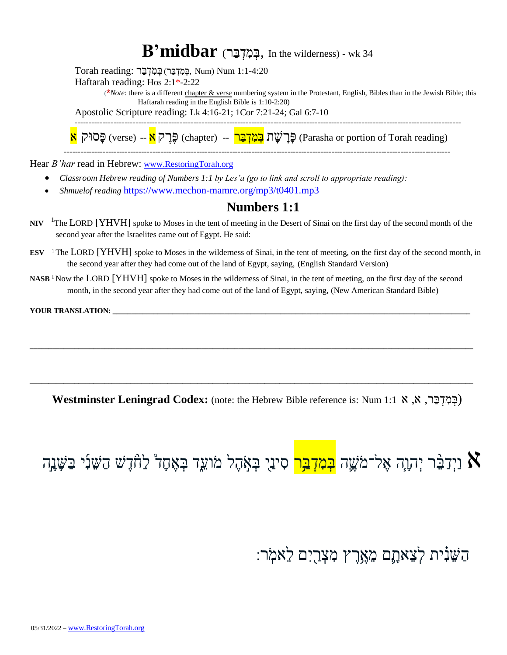### $\bf B'midbar$  (בְּמִדְבַּר, In the wilderness) - wk 34

 $T$ orah reading: בְּמְדְּבַּר, Num) Num 1:1-4:20

Haftarah reading: Hos 2:1\*-2:22

(**\****Note*: there is a different chapter & verse numbering system in the Protestant, English, Bibles than in the Jewish Bible; this Haftarah reading in the English Bible is 1:10-2:20)

Apostolic Scripture reading: Lk 4:16-21; 1Cor 7:21-24; Gal 6:7-10

-------------------------------------------------------------------------------------------------------------------------------------------- פָּסוּק (rerse) -- (chapter) בָּרָשָׁת <mark>בְּמִדְּבַּר --</mark> (chapter פָּרָשָׁת בָּ (Parasha or portion of Torah reading)

-------------------------------------------------------------------------------------------------------------------------------------------- Hear *B'har* read in Hebrew: [www.RestoringTorah.org](http://www.restoringtorah.org/)

- *Classroom Hebrew reading of Numbers 1:1 by Les'a (go to link and scroll to appropriate reading):*
- *Shmuelof reading* <https://www.mechon-mamre.org/mp3/t0401.mp3>

#### **Numbers 1:1**

- **NIV**  <sup>1</sup>The LORD [YHVH] spoke to Moses in the tent of meeting in the Desert of Sinai on the first day of the second month of the second year after the Israelites came out of Egypt. He said:
- **ESV** <sup>1</sup> The LORD [YHVH] spoke to Moses in the wilderness of Sinai, in the tent of meeting, on the first day of the second month, in the second year after they had come out of the land of Egypt, saying, (English Standard Version)
- **NASB** <sup>1</sup> Now the LORD [YHVH] spoke to Moses in the wilderness of Sinai, in the tent of meeting, on the first day of the second month, in the second year after they had come out of the land of Egypt, saying, (New American Standard Bible)

**\_\_\_\_\_\_\_\_\_\_\_\_\_\_\_\_\_\_\_\_\_\_\_\_\_\_\_\_\_\_\_\_\_\_\_\_\_\_\_\_\_\_\_\_\_\_\_\_\_\_\_\_\_\_\_\_\_\_\_\_\_\_\_\_\_\_\_\_\_\_\_\_\_\_\_\_\_\_\_\_\_\_\_\_\_\_\_\_\_\_\_\_\_\_\_\_\_\_\_\_\_\_\_\_\_\_\_\_\_\_\_\_\_\_\_\_\_\_\_**

**\_\_\_\_\_\_\_\_\_\_\_\_\_\_\_\_\_\_\_\_\_\_\_\_\_\_\_\_\_\_\_\_\_\_\_\_\_\_\_\_\_\_\_\_\_\_\_\_\_\_\_\_\_\_\_\_\_\_\_\_\_\_\_\_\_\_\_\_\_\_\_\_\_\_\_\_\_\_\_\_\_\_\_\_\_\_\_\_\_\_\_\_\_\_\_\_\_\_\_\_\_\_\_\_\_\_\_\_\_\_\_\_\_\_\_\_\_\_\_**

YOUR TRANSLATION:

**Westminster Leningrad Codex:** (note: the Hebrew Bible reference is: Num 1:1א , א ,רַּב ְּד ִמ ְּב(

# א וַיְּדַבֵּ֫ר יְהוָה אֶל־מֹשֶׁה <mark>בְּמִדְבַּר</mark> סִינַי בְּאָהֶל מֹועֵד בְּאֶחָדْ לַחָּדָשׁ הַשֵּׁנִי בַּשָּׁנָָה

הַּש נִִ֗ ית לְּצ אתָּ ֶׁ֛ם מ אֶּ ַּ֥רֶּ ץ מִ צְּ רַּ ַ֖ יִם ל אמֹֹֽ ר׃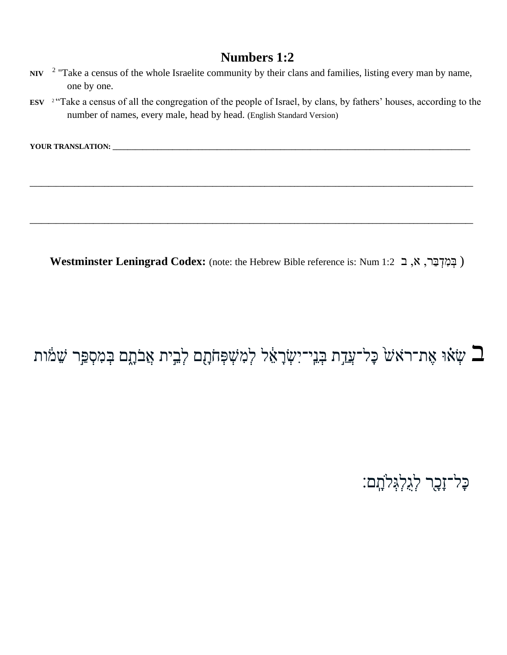- NIV <sup>2</sup> "Take a census of the whole Israelite community by their clans and families, listing every man by name, one by one.
- ESV <sup>2</sup> "Take a census of all the congregation of the people of Israel, by clans, by fathers' houses, according to the number of names, every male, head by head. (English Standard Version)

**\_\_\_\_\_\_\_\_\_\_\_\_\_\_\_\_\_\_\_\_\_\_\_\_\_\_\_\_\_\_\_\_\_\_\_\_\_\_\_\_\_\_\_\_\_\_\_\_\_\_\_\_\_\_\_\_\_\_\_\_\_\_\_\_\_\_\_\_\_\_\_\_\_\_\_\_\_\_\_\_\_\_\_\_\_\_\_\_\_\_\_\_\_\_\_\_\_\_\_\_\_\_\_\_\_\_\_\_\_\_\_\_\_\_\_\_\_\_\_**

**\_\_\_\_\_\_\_\_\_\_\_\_\_\_\_\_\_\_\_\_\_\_\_\_\_\_\_\_\_\_\_\_\_\_\_\_\_\_\_\_\_\_\_\_\_\_\_\_\_\_\_\_\_\_\_\_\_\_\_\_\_\_\_\_\_\_\_\_\_\_\_\_\_\_\_\_\_\_\_\_\_\_\_\_\_\_\_\_\_\_\_\_\_\_\_\_\_\_\_\_\_\_\_\_\_\_\_\_\_\_\_\_\_\_\_\_\_\_\_**

YOUR TRANSLATION: \_

**Westminster Leningrad Codex:** (note: the Hebrew Bible reference is: Num 1:2 ב ,א ,רַּב ְּד ִמ ְּב(

### שְׂאוּ אֶת־רֹאֹשׁ כָּל־עֲדַת בְּנֵי־יִשְׂרָאֵל לְמִשְׁפְּחֹתָם לְבִית אֲבֹתֶם בְּמִסְפַּר שֵׁמֹות ፤

ּכָּל־זָבָר לִגְלְגִּלֹתָם: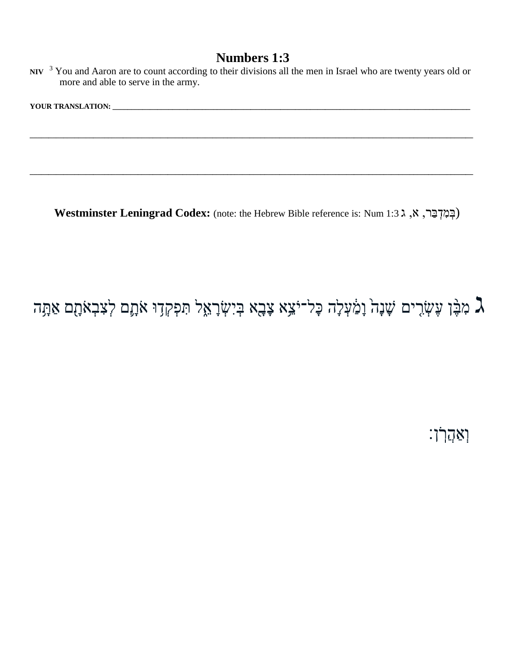| NIV $3$ You and Aaron are to count according to their divisions all the men in Israel who are twenty years old or |  |  |
|-------------------------------------------------------------------------------------------------------------------|--|--|
| more and able to serve in the army.                                                                               |  |  |

| <b>VOIT</b><br>LINAINƏL<br>- |  |
|------------------------------|--|
|                              |  |

**\_\_\_\_\_\_\_\_\_\_\_\_\_\_\_\_\_\_\_\_\_\_\_\_\_\_\_\_\_\_\_\_\_\_\_\_\_\_\_\_\_\_\_\_\_\_\_\_\_\_\_\_\_\_\_\_\_\_\_\_\_\_\_\_\_\_\_\_\_\_\_\_\_\_\_\_\_\_\_\_\_\_\_\_\_\_\_\_\_\_\_\_\_\_\_\_\_\_\_\_\_\_\_\_\_\_\_\_\_\_\_\_\_\_\_\_\_\_\_**

**\_\_\_\_\_\_\_\_\_\_\_\_\_\_\_\_\_\_\_\_\_\_\_\_\_\_\_\_\_\_\_\_\_\_\_\_\_\_\_\_\_\_\_\_\_\_\_\_\_\_\_\_\_\_\_\_\_\_\_\_\_\_\_\_\_\_\_\_\_\_\_\_\_\_\_\_\_\_\_\_\_\_\_\_\_\_\_\_\_\_\_\_\_\_\_\_\_\_\_\_\_\_\_\_\_\_\_\_\_\_\_\_\_\_\_\_\_\_\_**

**Westminster Leningrad Codex:** (note: the Hebrew Bible reference is: Num 1:3 ג ,א ,רַּב ְּד ִמ ְּב(

## מִבֶּ֣ן עֶשְׂרִים שָׁנָה וָמַ֫עְלָה כָּל־יֹצֵא צָבָא בְּיִשְׂרָאֵל תִּפְקְדָוּ אֹתָם לְצִבְאֹתָם אַתָּה  $\gimـ$

וְּ אַּ הֲרֹֹֽ ן׃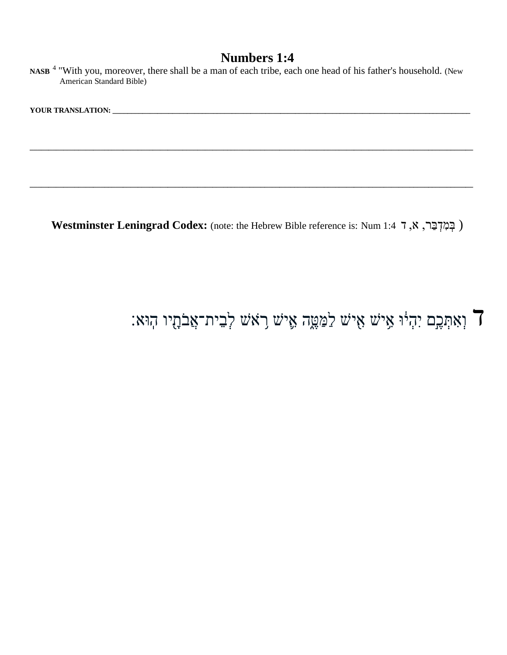NASB<sup>4</sup> "With you, moreover, there shall be a man of each tribe, each one head of his father's household. (New American Standard Bible)

**\_\_\_\_\_\_\_\_\_\_\_\_\_\_\_\_\_\_\_\_\_\_\_\_\_\_\_\_\_\_\_\_\_\_\_\_\_\_\_\_\_\_\_\_\_\_\_\_\_\_\_\_\_\_\_\_\_\_\_\_\_\_\_\_\_\_\_\_\_\_\_\_\_\_\_\_\_\_\_\_\_\_\_\_\_\_\_\_\_\_\_\_\_\_\_\_\_\_\_\_\_\_\_\_\_\_\_\_\_\_\_\_\_\_\_\_\_\_\_**

**\_\_\_\_\_\_\_\_\_\_\_\_\_\_\_\_\_\_\_\_\_\_\_\_\_\_\_\_\_\_\_\_\_\_\_\_\_\_\_\_\_\_\_\_\_\_\_\_\_\_\_\_\_\_\_\_\_\_\_\_\_\_\_\_\_\_\_\_\_\_\_\_\_\_\_\_\_\_\_\_\_\_\_\_\_\_\_\_\_\_\_\_\_\_\_\_\_\_\_\_\_\_\_\_\_\_\_\_\_\_\_\_\_\_\_\_\_\_\_**

**YOUR TRANSLATION: \_\_\_\_\_\_\_\_\_\_\_\_\_\_\_\_\_\_\_\_\_\_\_\_\_\_\_\_\_\_\_\_\_\_\_\_\_\_\_\_\_\_\_\_\_\_\_\_\_\_\_\_\_\_\_\_\_\_\_\_\_\_\_\_\_\_\_\_\_\_\_\_\_\_\_\_\_\_\_\_\_\_\_\_\_\_\_\_\_\_\_\_\_\_\_\_**

**Westminster Leningrad Codex:** (note: the Hebrew Bible reference is: Num 1:4 ד ,א ,רַּב ְּד ִמ ְּב(

### ד וְאִתְּכֶם יִהְיֹּוּ אִישׁ אִישׁ לַמַּטֶּה אֵישׁ רָאֹשׁ לְבִית־אֲבֹתָיו הְוּא: **``**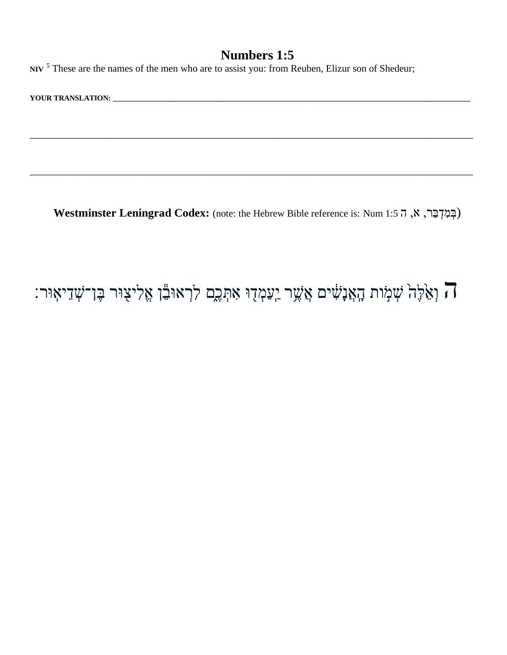NIV<sup>5</sup> These are the names of the men who are to assist you: from Reuben, Elizur son of Shedeur;

Westminster Leningrad Codex: (note: the Hebrew Bible reference is: Num 1:5 ה, א, ה 1:5

### ה וְאֵלֶּה שְׁמָׂוֹת הָאֲנָשִׁים אֲשֶׁר יַעַמְדָוּ אִתְּכֶם לִרְאוּבֵّן אֱלִיצָוּר בֶּן־שְׁדֵיאִוּר: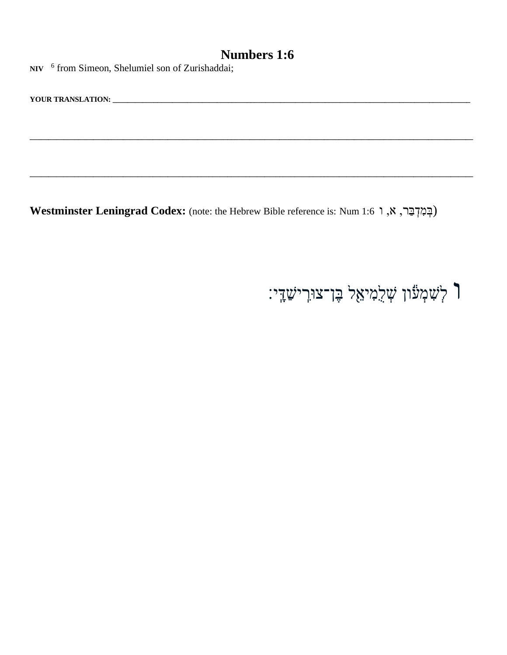NIV <sup>6</sup> from Simeon, Shelumiel son of Zurishaddai;

Westminster Leningrad Codex: (note: the Hebrew Bible reference is: Num 1:6 ג, א, ו 19

### ך לְשָׁמְעֹוֹן שְׁלֵמִיאֵל בֶּן־צוּרְישַׁדְי: